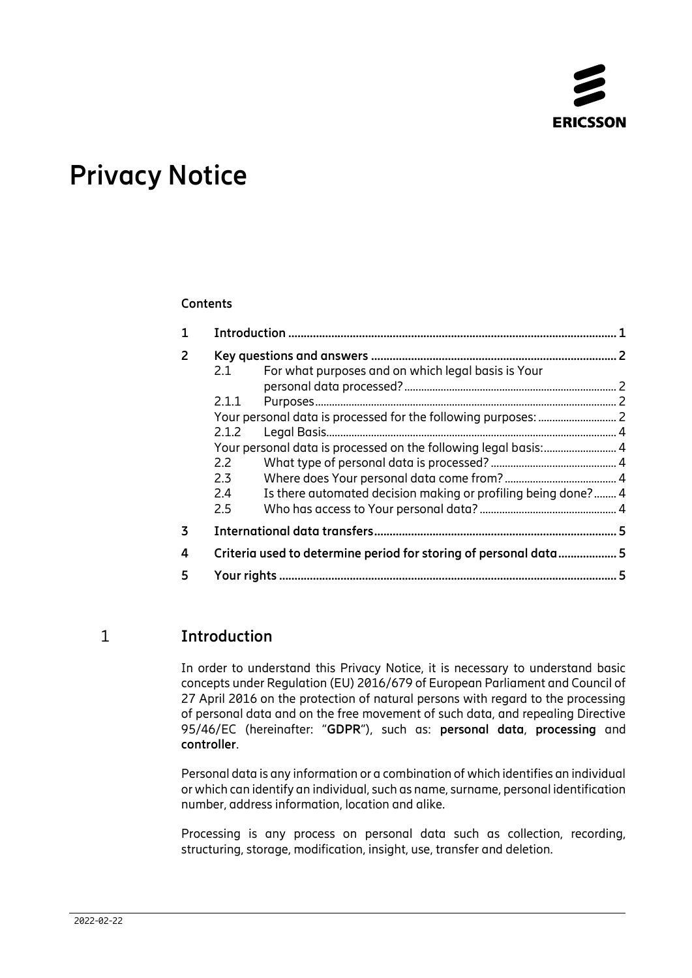

# **Privacy Notice**

#### **Contents**

| $\mathbf{1}$   |                                                                  |                                                               | 1 |
|----------------|------------------------------------------------------------------|---------------------------------------------------------------|---|
| $\overline{2}$ |                                                                  |                                                               |   |
|                | 2.1                                                              | For what purposes and on which legal basis is Your            |   |
|                |                                                                  |                                                               |   |
|                | 2.1.1                                                            |                                                               |   |
|                |                                                                  |                                                               |   |
|                | 2.1.2                                                            |                                                               |   |
|                |                                                                  |                                                               |   |
|                | 2.2                                                              |                                                               |   |
|                | 2.3                                                              |                                                               |   |
|                | 2.4                                                              | Is there automated decision making or profiling being done? 4 |   |
|                | $2.5^{\circ}$                                                    |                                                               |   |
| 3              |                                                                  |                                                               |   |
| 4              | Criteria used to determine period for storing of personal data 5 |                                                               |   |
| 5              |                                                                  |                                                               | 5 |

## 1 **Introduction**

<span id="page-0-0"></span>In order to understand this Privacy Notice, it is necessary to understand basic concepts under Regulation (EU) 2016/679 of European Parliament and Council of 27 April 2016 on the protection of natural persons with regard to the processing of personal data and on the free movement of such data, and repealing Directive 95/46/EC (hereinafter: "**GDPR**"), such as: **personal data**, **processing** and **controller**.

Personal data is any information or a combination of which identifies an individual or which can identify an individual, such as name, surname, personal identification number, address information, location and alike.

Processing is any process on personal data such as collection, recording, structuring, storage, modification, insight, use, transfer and deletion.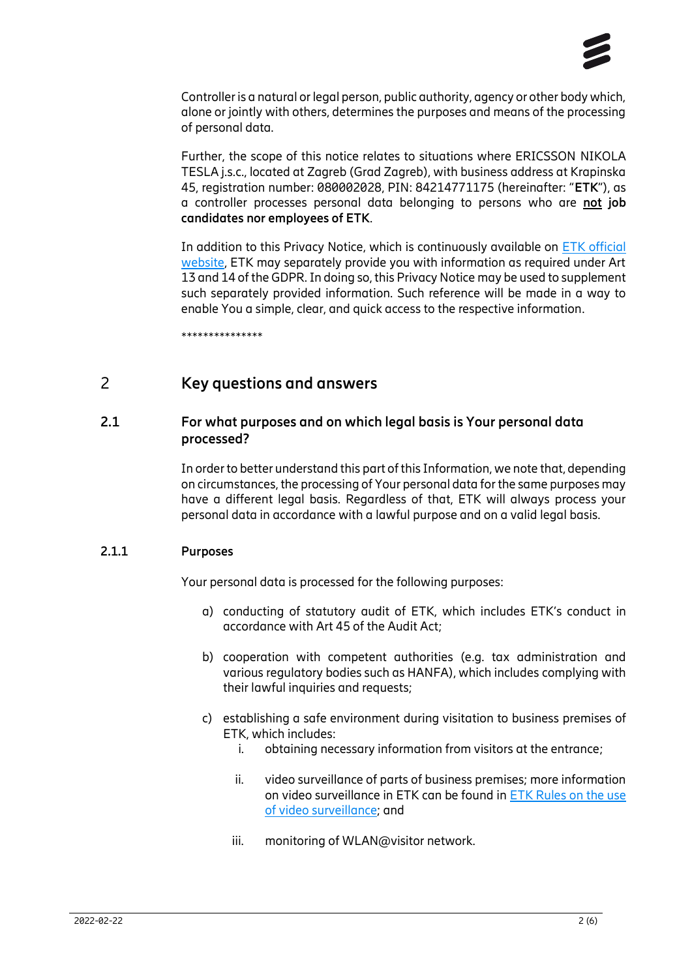

Controller is a natural or legal person, public authority, agency or other body which, alone or jointly with others, determines the purposes and means of the processing of personal data.

Further, the scope of this notice relates to situations where ERICSSON NIKOLA TESLA j.s.c., located at Zagreb (Grad Zagreb), with business address at Krapinska 45, registration number: 080002028, PIN: 84214771175 (hereinafter: "**ETK**"), as a controller processes personal data belonging to persons who are **not job candidates nor employees of ETK**.

In addition to this Privacy Notice, which is continuously available on ETK [official](https://www.ericsson.hr/privatnost) [website,](https://www.ericsson.hr/privatnost) ETK may separately provide you with information as required under Art 13 and 14 of the GDPR.In doing so, this Privacy Notice may be used to supplement such separately provided information. Such reference will be made in a way to enable You a simple, clear, and quick access to the respective information.

<span id="page-1-0"></span>\*\*\*\*\*\*\*\*\*\*\*\*\*\*\*

## 2 **Key questions and answers**

### **2.1 For what purposes and on which legal basis is Your personal data processed?**

<span id="page-1-1"></span>In order to better understand this part of this Information, we note that, depending on circumstances, the processing of Your personal data for the same purposes may have a different legal basis. Regardless of that, ETK will always process your personal data in accordance with a lawful purpose and on a valid legal basis.

#### **2.1.1 Purposes**

<span id="page-1-3"></span><span id="page-1-2"></span>Your personal data is processed for the following purposes:

- a) conducting of statutory audit of ETK, which includes ETK's conduct in accordance with Art 45 of the Audit Act;
- b) cooperation with competent authorities (e.g. tax administration and various regulatory bodies such as HANFA), which includes complying with their lawful inquiries and requests;
- c) establishing a safe environment during visitation to business premises of ETK, which includes:
	- i. obtaining necessary information from visitors at the entrance;
	- ii. video surveillance of parts of business premises; more information on video surveillance in ETK can be found i[n ETK Rules on the use](https://www.ericsson.hr/documents/20607/111438/Rules_use_video_surveillance.pdf/91ca8898-76e4-4b49-b7cf-0a18325032ad)  [of video surveillance;](https://www.ericsson.hr/documents/20607/111438/Rules_use_video_surveillance.pdf/91ca8898-76e4-4b49-b7cf-0a18325032ad) and
	- iii. monitoring of WLAN@visitor network.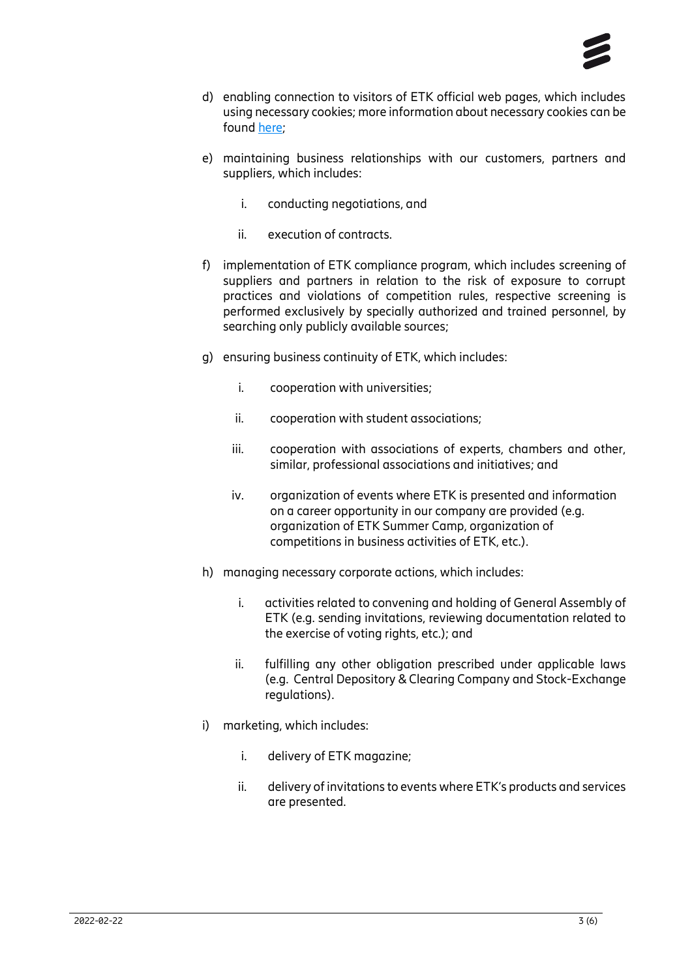

- d) enabling connection to visitors of ETK official web pages, which includes using necessary cookies; more information about necessary cookies can be found [here;](https://www.ericsson.hr/privatnost)
- e) maintaining business relationships with our customers, partners and suppliers, which includes:
	- i. conducting negotiations, and
	- ii. execution of contracts.
- f) implementation of ETK compliance program, which includes screening of suppliers and partners in relation to the risk of exposure to corrupt practices and violations of competition rules, respective screening is performed exclusively by specially authorized and trained personnel, by searching only publicly available sources;
- g) ensuring business continuity of ETK, which includes:
	- i. cooperation with universities;
	- ii. cooperation with student associations;
	- iii. cooperation with associations of experts, chambers and other, similar, professional associations and initiatives; and
	- iv. organization of events where ETK is presented and information on a career opportunity in our company are provided (e.g. organization of ETK Summer Camp, organization of competitions in business activities of ETK, etc.).
- h) managing necessary corporate actions, which includes:
	- i. activities related to convening and holding of General Assembly of ETK (e.g. sending invitations, reviewing documentation related to the exercise of voting rights, etc.); and
	- ii. fulfilling any other obligation prescribed under applicable laws (e.g. Central Depository & Clearing Company and Stock-Exchange regulations).
- i) marketing, which includes:
	- i. delivery of ETK magazine;
	- ii. delivery of invitations to events where ETK's products and services are presented.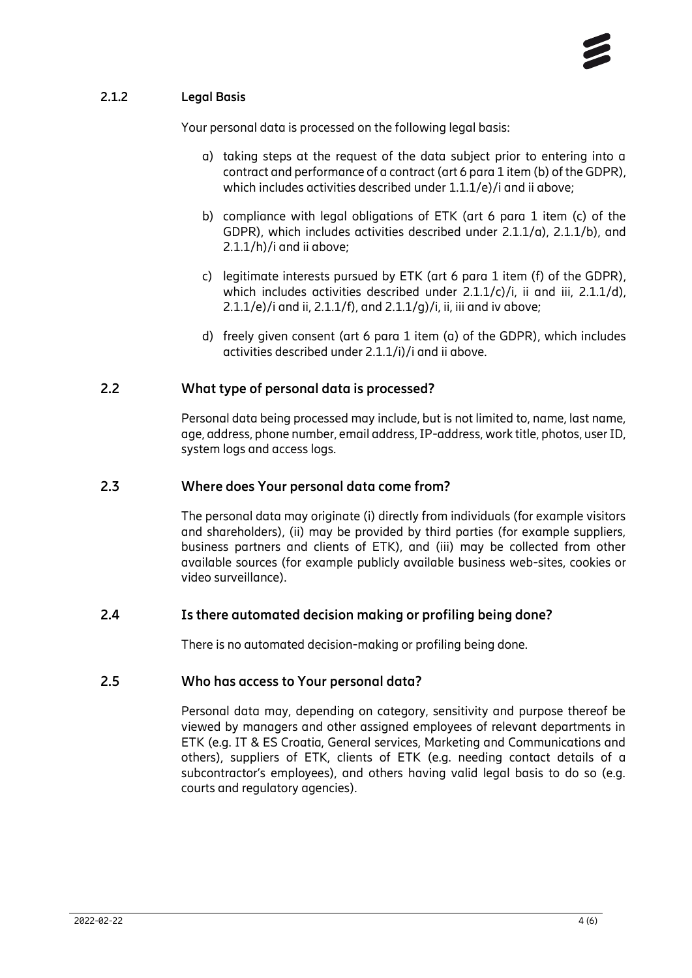### **2.1.2 Legal Basis**

<span id="page-3-1"></span><span id="page-3-0"></span>Your personal data is processed on the following legal basis:

- a) taking steps at the request of the data subject prior to entering into a contract and performance of a contract (art 6 para 1 item (b) of the GDPR), which includes activities described under 1.1.1/e)/i and ii above;
- b) compliance with legal obligations of ETK (art 6 para 1 item (c) of the GDPR), which includes activities described under 2.1.1/a), 2.1.1/b), and 2.1.1/h)/i and ii above;
- c) legitimate interests pursued by ETK (art 6 para 1 item (f) of the GDPR), which includes activities described under 2.1.1/c)/i, ii and iii, 2.1.1/d), 2.1.1/e)/i and ii, 2.1.1/f), and  $2.1.1/g$ )/i, ii, iii and iv above;
- d) freely given consent (art 6 para 1 item (a) of the GDPR), which includes activities described under 2.1.1/i)/i and ii above.

## **2.2 What type of personal data is processed?**

<span id="page-3-2"></span>Personal data being processed may include, but is not limited to, name, last name, age, address, phone number, email address, IP-address, work title, photos, user ID, system logs and access logs.

## **2.3 Where does Your personal data come from?**

<span id="page-3-3"></span>The personal data may originate (i) directly from individuals (for example visitors and shareholders), (ii) may be provided by third parties (for example suppliers, business partners and clients of ETK), and (iii) may be collected from other available sources (for example publicly available business web-sites, cookies or video surveillance).

#### **2.4 Is there automated decision making or profiling being done?**

<span id="page-3-5"></span><span id="page-3-4"></span>There is no automated decision-making or profiling being done.

#### **2.5 Who has access to Your personal data?**

Personal data may, depending on category, sensitivity and purpose thereof be viewed by managers and other assigned employees of relevant departments in ETK (e.g. IT & ES Croatia, General services, Marketing and Communications and others), suppliers of ETK, clients of ETK (e.g. needing contact details of a subcontractor's employees), and others having valid legal basis to do so (e.g. courts and regulatory agencies).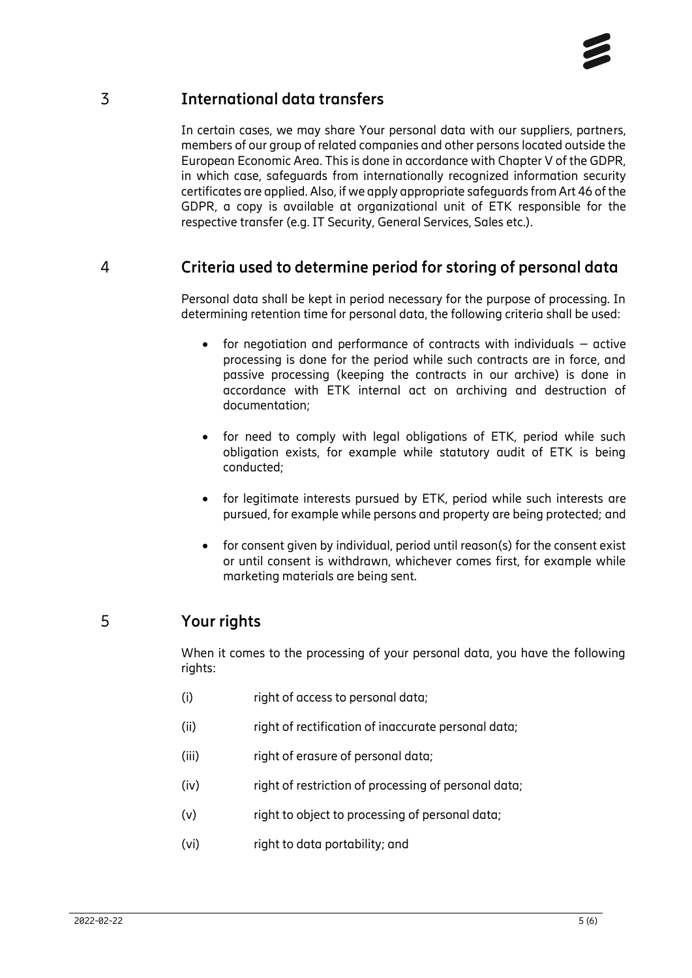# 3 **International data transfers**

<span id="page-4-0"></span>In certain cases, we may share Your personal data with our suppliers, partners, members of our group of related companies and other persons located outside the European Economic Area. This is done in accordance with Chapter V of the GDPR, in which case, safeguards from internationally recognized information security certificates are applied. Also, if we apply appropriate safeguards from Art 46 of the GDPR, a copy is available at organizational unit of ETK responsible for the respective transfer (e.g. IT Security, General Services, Sales etc.).

## 4 **Criteria used to determine period for storing of personal data**

<span id="page-4-1"></span>Personal data shall be kept in period necessary for the purpose of processing. In determining retention time for personal data, the following criteria shall be used:

- for negotiation and performance of contracts with individuals active processing is done for the period while such contracts are in force, and passive processing (keeping the contracts in our archive) is done in accordance with ETK internal act on archiving and destruction of documentation;
- for need to comply with legal obligations of ETK, period while such obligation exists, for example while statutory audit of ETK is being conducted;
- for legitimate interests pursued by ETK, period while such interests are pursued, for example while persons and property are being protected; and
- for consent given by individual, period until reason(s) for the consent exist or until consent is withdrawn, whichever comes first, for example while marketing materials are being sent.

# 5 **Your rights**

<span id="page-4-2"></span>When it comes to the processing of your personal data, you have the following rights:

- (i) right of access to personal data;
- (ii) right of rectification of inaccurate personal data;
- (iii) right of erasure of personal data;
- (iv) right of restriction of processing of personal data;
- (v) right to object to processing of personal data;
- (vi) right to data portability; and